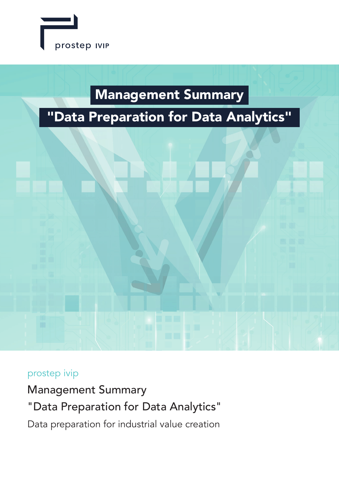

## Management Summary

# "Data Preparation for Data Analytics"



## prostep ivip

Management Summary "Data Preparation for Data Analytics" Data preparation for industrial value creation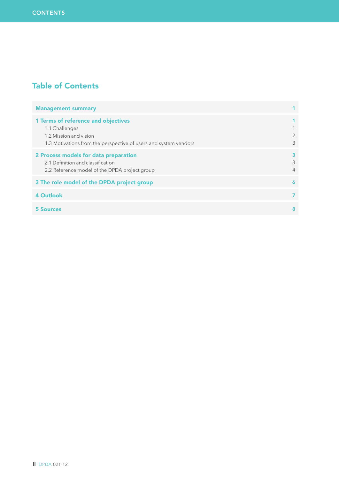## Table of Contents

| <b>Management summary</b>                                                                                                                                  |                     |
|------------------------------------------------------------------------------------------------------------------------------------------------------------|---------------------|
| <b>1 Terms of reference and objectives</b><br>1.1 Challenges<br>1.2 Mission and vision<br>1.3 Motivations from the perspective of users and system vendors | 3                   |
| 2 Process models for data preparation<br>2.1 Definition and classification<br>2.2 Reference model of the DPDA project group                                | 3<br>$\overline{4}$ |
| 3 The role model of the DPDA project group                                                                                                                 | 6                   |
| <b>4 Outlook</b>                                                                                                                                           |                     |
| 5 Sources                                                                                                                                                  | 8                   |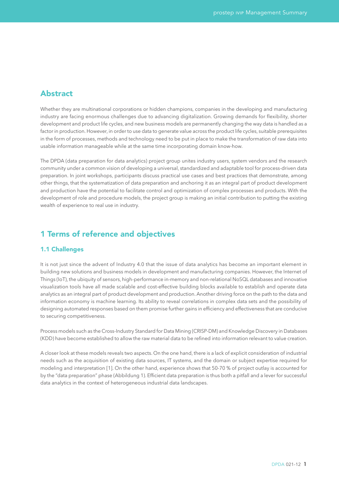## Abstract

Whether they are multinational corporations or hidden champions, companies in the developing and manufacturing industry are facing enormous challenges due to advancing digitalization. Growing demands for flexibility, shorter development and product life cycles, and new business models are permanently changing the way data is handled as a factor in production. However, in order to use data to generate value across the product life cycles, suitable prerequisites in the form of processes, methods and technology need to be put in place to make the transformation of raw data into usable information manageable while at the same time incorporating domain know-how.

The DPDA (data preparation for data analytics) project group unites industry users, system vendors and the research community under a common vision of developing a universal, standardized and adaptable tool for process-driven data preparation. In joint workshops, participants discuss practical use cases and best practices that demonstrate, among other things, that the systematization of data preparation and anchoring it as an integral part of product development and production have the potential to facilitate control and optimization of complex processes and products. With the development of role and procedure models, the project group is making an initial contribution to putting the existing wealth of experience to real use in industry.

## 1 Terms of reference and objectives

#### 1.1 Challenges

It is not just since the advent of Industry 4.0 that the issue of data analytics has become an important element in building new solutions and business models in development and manufacturing companies. However, the Internet of Things (IoT), the ubiquity of sensors, high-performance in-memory and non-relational NoSQL databases and innovative visualization tools have all made scalable and cost-effective building blocks available to establish and operate data analytics as an integral part of product development and production. Another driving force on the path to the data and information economy is machine learning. Its ability to reveal correlations in complex data sets and the possibility of designing automated responses based on them promise further gains in efficiency and effectiveness that are conducive to securing competitiveness.

Process models such as the Cross-Industry Standard for Data Mining (CRISP-DM) and Knowledge Discovery in Databases (KDD) have become established to allow the raw material data to be refined into information relevant to value creation.

A closer look at these models reveals two aspects. On the one hand, there is a lack of explicit consideration of industrial needs such as the acquisition of existing data sources, IT systems, and the domain or subject expertise required for modeling and interpretation [1]. On the other hand, experience shows that 50-70 % of project outlay is accounted for by the "data preparation" phase (Abbildung 1). Efficient data preparation is thus both a pitfall and a lever for successful data analytics in the context of heterogeneous industrial data landscapes.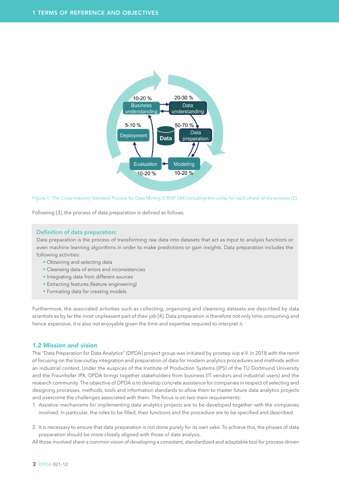

Figure 1: The Cross-Industry Standard Process for Data Mining (CRISP-DM) including the outlay for each phase of the process [2]

Following [3], the process of data preparation is defined as follows.

#### **Definition of data preparation:**

Data preparation is the process of transforming raw data into datasets that act as input to analysis functions or even machine learning algorithms in order to make predictions or gain insights. Data preparation includes the following activities:

- Obtaining and selecting data
- Cleansing data of errors and inconsistencies
- Integrating data from different sources
- Extracting features (feature engineering)
- Formating data for creating models

Furthermore, the associated activities such as collecting, organizing and cleansing datasets are described by data scientists as by far the most unpleasant part of their job [4]. Data preparation is therefore not only time-consuming and hence expensive, it is also not enjoyable given the time and expertise required to interpret it.

#### 1.2 Mission and vision

The "Data Preparation for Data Analytics" (DPDA) project group was initiated by prostep ivip e.V. in 2018 with the remit of focusing on the low-outlay integration and preparation of data for modern analytics procedures and methods within an industrial context. Under the auspices of the Institute of Production Systems (IPS) of the TU Dortmund University and the Fraunhofer IPK, DPDA brings together stakeholders from business (IT vendors and industrial users) and the research community. The objective of DPDA is to develop concrete assistance for companies in respect of selecting and designing processes, methods, tools and information standards to allow them to master future data analytics projects and overcome the challenges associated with them. The focus is on two main requirements:

- 1. Assistive mechanisms for implementing data analytics projects are to be developed together with the companies involved. In particular, the roles to be filled, their functions and the procedure are to be specified and described.
- 2. It is necessary to ensure that data preparation is not done purely for its own sake. To achieve this, the phases of data preparation should be more closely aligned with those of data analysis.

All those involved share a common vision of developing a consistent, standardized and adaptable tool for process-driven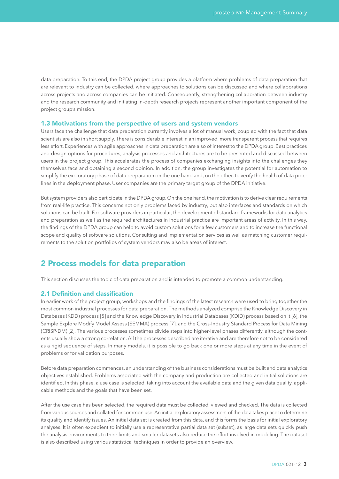data preparation. To this end, the DPDA project group provides a platform where problems of data preparation that are relevant to industry can be collected, where approaches to solutions can be discussed and where collaborations across projects and across companies can be initiated. Consequently, strengthening collaboration between industry and the research community and initiating in-depth research projects represent another important component of the project group's mission.

#### 1.3 Motivations from the perspective of users and system vendors

Users face the challenge that data preparation currently involves a lot of manual work, coupled with the fact that data scientists are also in short supply. There is considerable interest in an improved, more transparent process that requires less effort. Experiences with agile approaches in data preparation are also of interest to the DPDA group. Best practices and design options for procedures, analysis processes and architectures are to be presented and discussed between users in the project group. This accelerates the process of companies exchanging insights into the challenges they themselves face and obtaining a second opinion. In addition, the group investigates the potential for automation to simplify the exploratory phase of data preparation on the one hand and, on the other, to verify the health of data pipelines in the deployment phase. User companies are the primary target group of the DPDA initiative.

But system providers also participate in the DPDA group. On the one hand, the motivation is to derive clear requirements from real-life practice. This concerns not only problems faced by industry, but also interfaces and standards on which solutions can be built. For software providers in particular, the development of standard frameworks for data analytics and preparation as well as the required architectures in industrial practice are important areas of activity. In this way, the findings of the DPDA group can help to avoid custom solutions for a few customers and to increase the functional scope and quality of software solutions. Consulting and implementation services as well as matching customer requirements to the solution portfolios of system vendors may also be areas of interest.

## 2 Process models for data preparation

This section discusses the topic of data preparation and is intended to promote a common understanding.

#### 2.1 Definition and classification

In earlier work of the project group, workshops and the findings of the latest research were used to bring together the most common industrial processes for data preparation. The methods analyzed comprise the Knowledge Discovery in Databases (KDD) process [5] and the Knowledge Discovery in Industrial Databases (KDID) process based on it [6], the Sample Explore Modify Model Assess (SEMMA) process [7], and the Cross-Industry Standard Process for Data Mining (CRISP-DM) [2]. The various processes sometimes divide steps into higher-level phases differently, although the contents usually show a strong correlation. All the processes described are iterative and are therefore not to be considered as a rigid sequence of steps. In many models, it is possible to go back one or more steps at any time in the event of problems or for validation purposes.

Before data preparation commences, an understanding of the business considerations must be built and data analytics objectives established. Problems associated with the company and production are collected and initial solutions are identified. In this phase, a use case is selected, taking into account the available data and the given data quality, applicable methods and the goals that have been set.

After the use case has been selected, the required data must be collected, viewed and checked. The data is collected from various sources and collated for common use. An initial exploratory assessment of the data takes place to determine its quality and identify issues. An initial data set is created from this data, and this forms the basis for initial exploratory analyses. It is often expedient to initially use a representative partial data set (subset), as large data sets quickly push the analysis environments to their limits and smaller datasets also reduce the effort involved in modeling. The dataset is also described using various statistical techniques in order to provide an overview.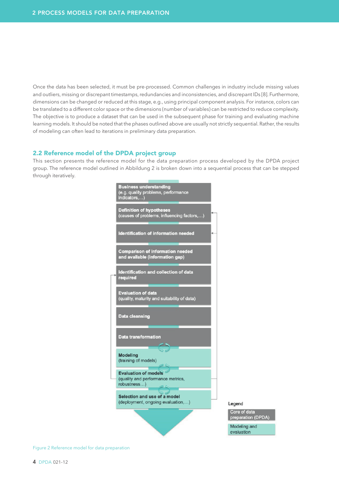Once the data has been selected, it must be pre-processed. Common challenges in industry include missing values and outliers, missing or discrepant timestamps, redundancies and inconsistencies, and discrepant IDs [8]. Furthermore, dimensions can be changed or reduced at this stage, e.g., using principal component analysis. For instance, colors can be translated to a different color space or the dimensions (number of variables) can be restricted to reduce complexity. The objective is to produce a dataset that can be used in the subsequent phase for training and evaluating machine learning models. It should be noted that the phases outlined above are usually not strictly sequential. Rather, the results of modeling can often lead to iterations in preliminary data preparation.

#### 2.2 Reference model of the DPDA project group

This section presents the reference model for the data preparation process developed by the DPDA project group. The reference model outlined in Abbildung 2 is broken down into a sequential process that can be stepped through iteratively.



Legend Core of data preparation (DPDA) Modeling and

evaluation

Figure 2 Reference model for data preparation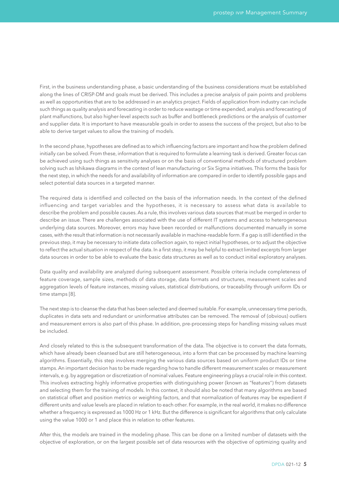First, in the business understanding phase, a basic understanding of the business considerations must be established along the lines of CRISP-DM and goals must be derived. This includes a precise analysis of pain points and problems as well as opportunities that are to be addressed in an analytics project. Fields of application from industry can include such things as quality analysis and forecasting in order to reduce wastage or time expended, analysis and forecasting of plant malfunctions, but also higher-level aspects such as buffer and bottleneck predictions or the analysis of customer and supplier data. It is important to have measurable goals in order to assess the success of the project, but also to be able to derive target values to allow the training of models.

In the second phase, hypotheses are defined as to which influencing factors are important and how the problem defined initially can be solved. From these, information that is required to formulate a learning task is derived. Greater focus can be achieved using such things as sensitivity analyses or on the basis of conventional methods of structured problem solving such as Ishikawa diagrams in the context of lean manufacturing or Six Sigma initiatives. This forms the basis for the next step, in which the needs for and availability of information are compared in order to identify possible gaps and select potential data sources in a targeted manner.

The required data is identified and collected on the basis of the information needs. In the context of the defined influencing and target variables and the hypotheses, it is necessary to assess what data is available to describe the problem and possible causes. As a rule, this involves various data sources that must be merged in order to describe an issue. There are challenges associated with the use of different IT systems and access to heterogeneous underlying data sources. Moreover, errors may have been recorded or malfunctions documented manually in some cases, with the result that information is not necessarily available in machine-readable form. If a gap is still identified in the previous step, it may be necessary to initiate data collection again, to reject initial hypotheses, or to adjust the objective to reflect the actual situation in respect of the data. In a first step, it may be helpful to extract limited excerpts from larger data sources in order to be able to evaluate the basic data structures as well as to conduct initial exploratory analyses.

Data quality and availability are analyzed during subsequent assessment. Possible criteria include completeness of feature coverage, sample sizes, methods of data storage, data formats and structures, measurement scales and aggregation levels of feature instances, missing values, statistical distributions, or traceability through uniform IDs or time stamps [8].

The next step is to cleanse the data that has been selected and deemed suitable. For example, unnecessary time periods, duplicates in data sets and redundant or uninformative attributes can be removed. The removal of (obvious) outliers and measurement errors is also part of this phase. In addition, pre-processing steps for handling missing values must be included.

And closely related to this is the subsequent transformation of the data. The objective is to convert the data formats, which have already been cleansed but are still heterogeneous, into a form that can be processed by machine learning algorithms. Essentially, this step involves merging the various data sources based on uniform product IDs or time stamps. An important decision has to be made regarding how to handle different measurement scales or measurement intervals, e.g. by aggregation or discretization of nominal values. Feature engineering plays a crucial role in this context. This involves extracting highly informative properties with distinguishing power (known as "features") from datasets and selecting them for the training of models. In this context, it should also be noted that many algorithms are based on statistical offset and position metrics or weighting factors, and that normalization of features may be expedient if different units and value levels are placed in relation to each other. For example, in the real world, it makes no difference whether a frequency is expressed as 1000 Hz or 1 kHz. But the difference is significant for algorithms that only calculate using the value 1000 or 1 and place this in relation to other features.

After this, the models are trained in the modeling phase. This can be done on a limited number of datasets with the objective of exploration, or on the largest possible set of data resources with the objective of optimizing quality and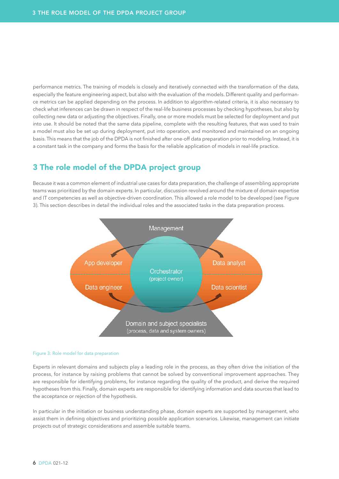performance metrics. The training of models is closely and iteratively connected with the transformation of the data, especially the feature engineering aspect, but also with the evaluation of the models. Different quality and performance metrics can be applied depending on the process. In addition to algorithm-related criteria, it is also necessary to check what inferences can be drawn in respect of the real-life business processes by checking hypotheses, but also by collecting new data or adjusting the objectives. Finally, one or more models must be selected for deployment and put into use. It should be noted that the same data pipeline, complete with the resulting features, that was used to train a model must also be set up during deployment, put into operation, and monitored and maintained on an ongoing basis. This means that the job of the DPDA is not finished after one-off data preparation prior to modeling. Instead, it is a constant task in the company and forms the basis for the reliable application of models in real-life practice.

## 3 The role model of the DPDA project group

Because it was a common element of industrial use cases for data preparation, the challenge of assembling appropriate teams was prioritized by the domain experts. In particular, discussion revolved around the mixture of domain expertise and IT competencies as well as objective-driven coordination. This allowed a role model to be developed (see Figure 3). This section describes in detail the individual roles and the associated tasks in the data preparation process.



#### Figure 3: Role model for data preparation

Experts in relevant domains and subjects play a leading role in the process, as they often drive the initiation of the process, for instance by raising problems that cannot be solved by conventional improvement approaches. They are responsible for identifying problems, for instance regarding the quality of the product, and derive the required hypotheses from this. Finally, domain experts are responsible for identifying information and data sources that lead to the acceptance or rejection of the hypothesis.

In particular in the initiation or business understanding phase, domain experts are supported by management, who assist them in defining objectives and prioritizing possible application scenarios. Likewise, management can initiate projects out of strategic considerations and assemble suitable teams.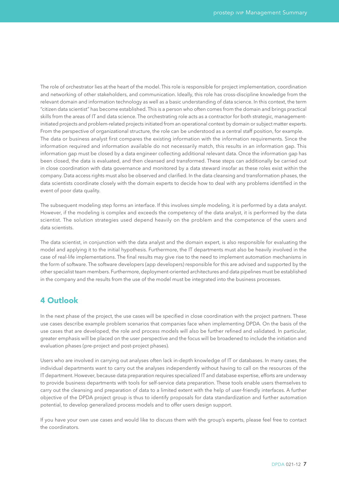The role of orchestrator lies at the heart of the model. This role is responsible for project implementation, coordination and networking of other stakeholders, and communication. Ideally, this role has cross-discipline knowledge from the relevant domain and information technology as well as a basic understanding of data science. In this context, the term "citizen data scientist" has become established. This is a person who often comes from the domain and brings practical skills from the areas of IT and data science. The orchestrating role acts as a contractor for both strategic, managementinitiated projects and problem-related projects initiated from an operational context by domain or subject matter experts. From the perspective of organizational structure, the role can be understood as a central staff position, for example. The data or business analyst first compares the existing information with the information requirements. Since the information required and information available do not necessarily match, this results in an information gap. This information gap must be closed by a data engineer collecting additional relevant data. Once the information gap has been closed, the data is evaluated, and then cleansed and transformed. These steps can additionally be carried out in close coordination with data governance and monitored by a data steward insofar as these roles exist within the company. Data access rights must also be observed and clarified. In the data cleansing and transformation phases, the data scientists coordinate closely with the domain experts to decide how to deal with any problems identified in the event of poor data quality.

The subsequent modeling step forms an interface. If this involves simple modeling, it is performed by a data analyst. However, if the modeling is complex and exceeds the competency of the data analyst, it is performed by the data scientist. The solution strategies used depend heavily on the problem and the competence of the users and data scientists.

The data scientist, in conjunction with the data analyst and the domain expert, is also responsible for evaluating the model and applying it to the initial hypothesis. Furthermore, the IT departments must also be heavily involved in the case of real-life implementations. The final results may give rise to the need to implement automation mechanisms in the form of software. The software developers (app developers) responsible for this are advised and supported by the other specialist team members. Furthermore, deployment-oriented architectures and data pipelines must be established in the company and the results from the use of the model must be integrated into the business processes.

### 4 Outlook

In the next phase of the project, the use cases will be specified in close coordination with the project partners. These use cases describe example problem scenarios that companies face when implementing DPDA. On the basis of the use cases that are developed, the role and process models will also be further refined and validated. In particular, greater emphasis will be placed on the user perspective and the focus will be broadened to include the initiation and evaluation phases (pre-project and post-project phases).

Users who are involved in carrying out analyses often lack in-depth knowledge of IT or databases. In many cases, the individual departments want to carry out the analyses independently without having to call on the resources of the IT department. However, because data preparation requires specialized IT and database expertise, efforts are underway to provide business departments with tools for self-service data preparation. These tools enable users themselves to carry out the cleansing and preparation of data to a limited extent with the help of user-friendly interfaces. A further objective of the DPDA project group is thus to identify proposals for data standardization and further automation potential, to develop generalized process models and to offer users design support.

If you have your own use cases and would like to discuss them with the group's experts, please feel free to contact the coordinators.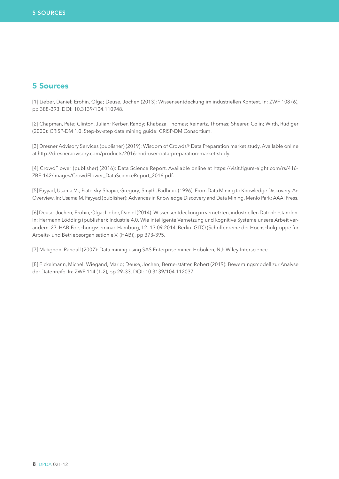### 5 Sources

[1] Lieber, Daniel; Erohin, Olga; Deuse, Jochen (2013): Wissensentdeckung im industriellen Kontext. In: ZWF 108 (6), pp 388–393. DOI: 10.3139/104.110948.

[2] Chapman, Pete; Clinton, Julian; Kerber, Randy; Khabaza, Thomas; Reinartz, Thomas; Shearer, Colin; Wirth, Rüdiger (2000): CRISP-DM 1.0. Step-by-step data mining guide: CRISP-DM Consortium.

[3] Dresner Advisory Services (publisher) (2019): Wisdom of Crowds® Data Preparation market study. Available online at http://dresneradvisory.com/products/2016-end-user-data-preparation-market-study.

[4] CrowdFlower (publisher) (2016): Data Science Report. Available online at https://visit.figure-eight.com/rs/416- ZBE-142/images/CrowdFlower\_DataScienceReport\_2016.pdf.

[5] Fayyad, Usama M.; Piatetsky-Shapio, Gregory; Smyth, Padhraic (1996): From Data Mining to Knowledge Discovery. An Overview. In: Usama M. Fayyad (publisher): Advances in Knowledge Discovery and Data Mining. Menlo Park: AAAI Press.

[6] Deuse, Jochen; Erohin, Olga; Lieber, Daniel (2014): Wissensentdeckung in vernetzten, industriellen Datenbeständen. In: Hermann Lödding (publisher): Industrie 4.0. Wie intelligente Vernetzung und kognitive Systeme unsere Arbeit verändern. 27. HAB-Forschungsseminar. Hamburg, 12.-13.09.2014. Berlin: GITO (Schriftenreihe der Hochschulgruppe für Arbeits- und Betriebsorganisation e.V. (HAB)), pp 373–395.

[7] Matignon, Randall (2007): Data mining using SAS Enterprise miner. Hoboken, NJ: Wiley-Interscience.

[8] Eickelmann, Michel; Wiegand, Mario; Deuse, Jochen; Bernerstätter, Robert (2019): Bewertungsmodell zur Analyse der Datenreife. In: ZWF 114 (1-2), pp 29–33. DOI: 10.3139/104.112037.